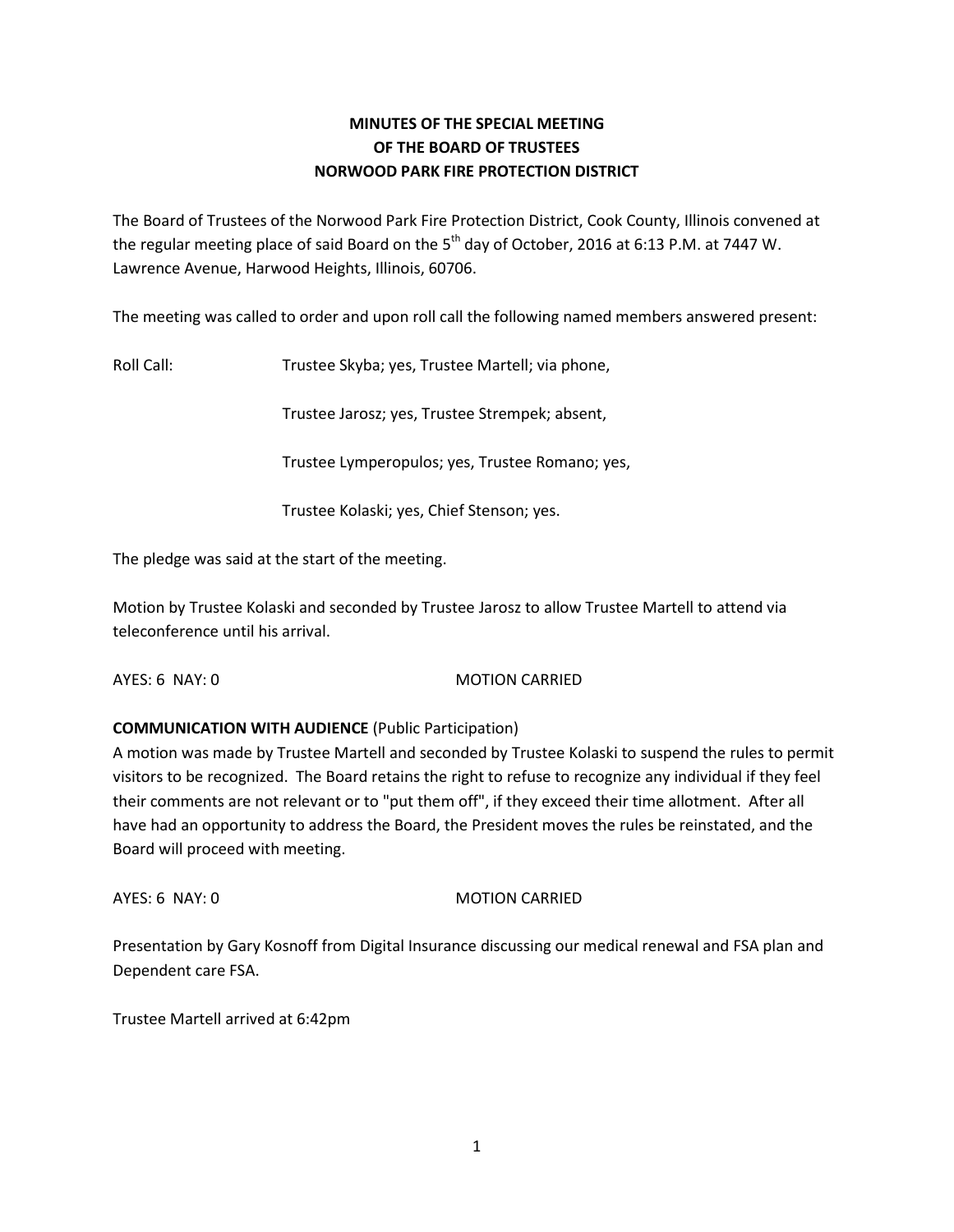## **MINUTES OF THE SPECIAL MEETING OF THE BOARD OF TRUSTEES NORWOOD PARK FIRE PROTECTION DISTRICT**

The Board of Trustees of the Norwood Park Fire Protection District, Cook County, Illinois convened at the regular meeting place of said Board on the 5<sup>th</sup> day of October, 2016 at 6:13 P.M. at 7447 W. Lawrence Avenue, Harwood Heights, Illinois, 60706.

The meeting was called to order and upon roll call the following named members answered present:

Roll Call: Trustee Skyba; yes, Trustee Martell; via phone,

Trustee Jarosz; yes, Trustee Strempek; absent,

Trustee Lymperopulos; yes, Trustee Romano; yes,

Trustee Kolaski; yes, Chief Stenson; yes.

The pledge was said at the start of the meeting.

Motion by Trustee Kolaski and seconded by Trustee Jarosz to allow Trustee Martell to attend via teleconference until his arrival.

AYES: 6 NAY: 0 MOTION CARRIED

## **COMMUNICATION WITH AUDIENCE** (Public Participation)

A motion was made by Trustee Martell and seconded by Trustee Kolaski to suspend the rules to permit visitors to be recognized. The Board retains the right to refuse to recognize any individual if they feel their comments are not relevant or to "put them off", if they exceed their time allotment. After all have had an opportunity to address the Board, the President moves the rules be reinstated, and the Board will proceed with meeting.

AYES: 6 NAY: 0 MOTION CARRIED

Presentation by Gary Kosnoff from Digital Insurance discussing our medical renewal and FSA plan and Dependent care FSA.

Trustee Martell arrived at 6:42pm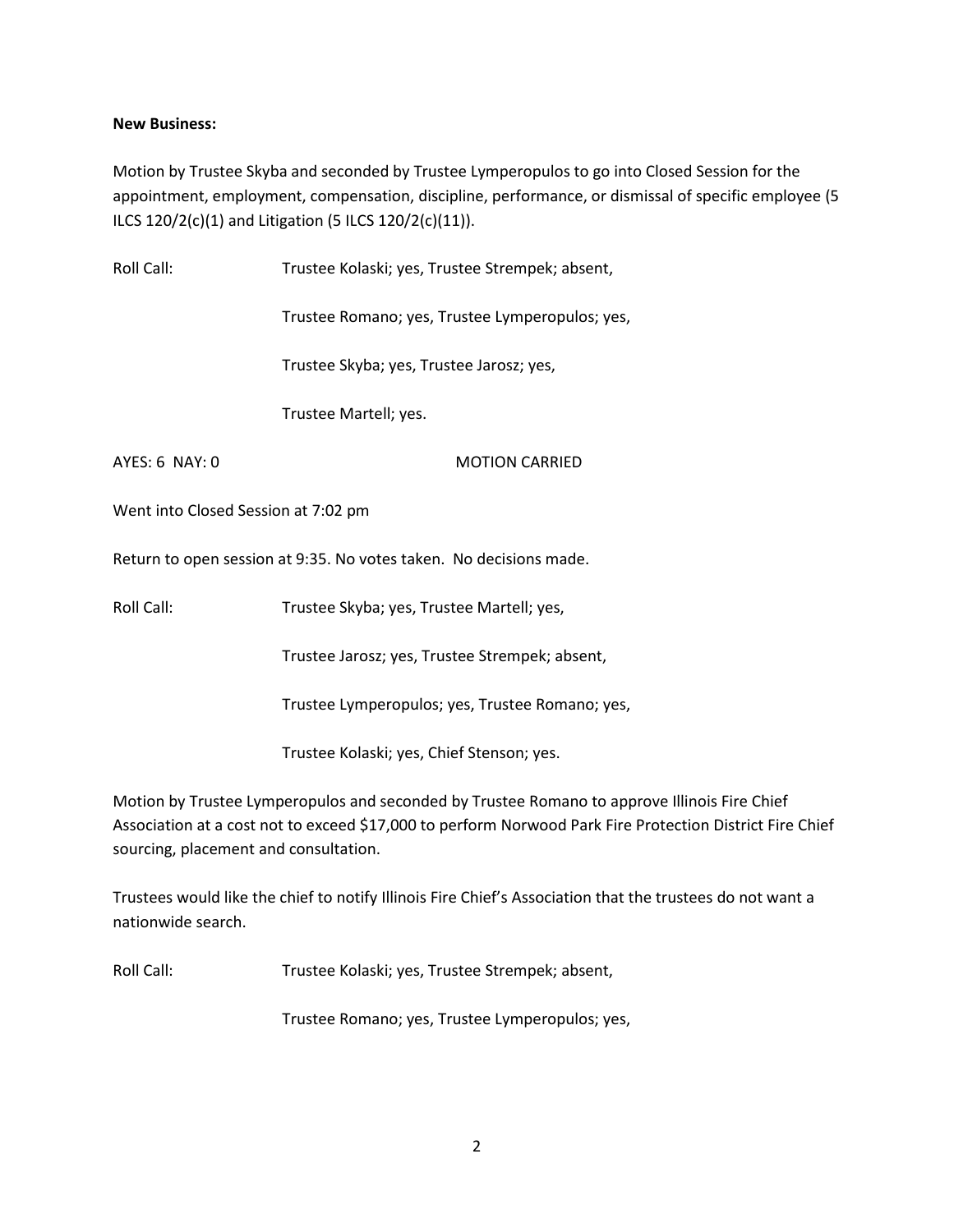## **New Business:**

Motion by Trustee Skyba and seconded by Trustee Lymperopulos to go into Closed Session for the appointment, employment, compensation, discipline, performance, or dismissal of specific employee (5 ILCS 120/2(c)(1) and Litigation (5 ILCS 120/2(c)(11)).

| Roll Call:                                                         | Trustee Kolaski; yes, Trustee Strempek; absent, |
|--------------------------------------------------------------------|-------------------------------------------------|
|                                                                    | Trustee Romano; yes, Trustee Lymperopulos; yes, |
|                                                                    | Trustee Skyba; yes, Trustee Jarosz; yes,        |
|                                                                    | Trustee Martell; yes.                           |
| AYES: 6 NAY: 0                                                     | <b>MOTION CARRIED</b>                           |
| Went into Closed Session at 7:02 pm                                |                                                 |
| Return to open session at 9:35. No votes taken. No decisions made. |                                                 |
| Roll Call:                                                         | Trustee Skyba; yes, Trustee Martell; yes,       |
|                                                                    | Trustee Jarosz; yes, Trustee Strempek; absent,  |
|                                                                    | Trustee Lymperopulos; yes, Trustee Romano; yes, |
|                                                                    | Trustee Kolaski; yes, Chief Stenson; yes.       |
|                                                                    |                                                 |

Motion by Trustee Lymperopulos and seconded by Trustee Romano to approve Illinois Fire Chief Association at a cost not to exceed \$17,000 to perform Norwood Park Fire Protection District Fire Chief sourcing, placement and consultation.

Trustees would like the chief to notify Illinois Fire Chief's Association that the trustees do not want a nationwide search.

Roll Call: Trustee Kolaski; yes, Trustee Strempek; absent,

Trustee Romano; yes, Trustee Lymperopulos; yes,